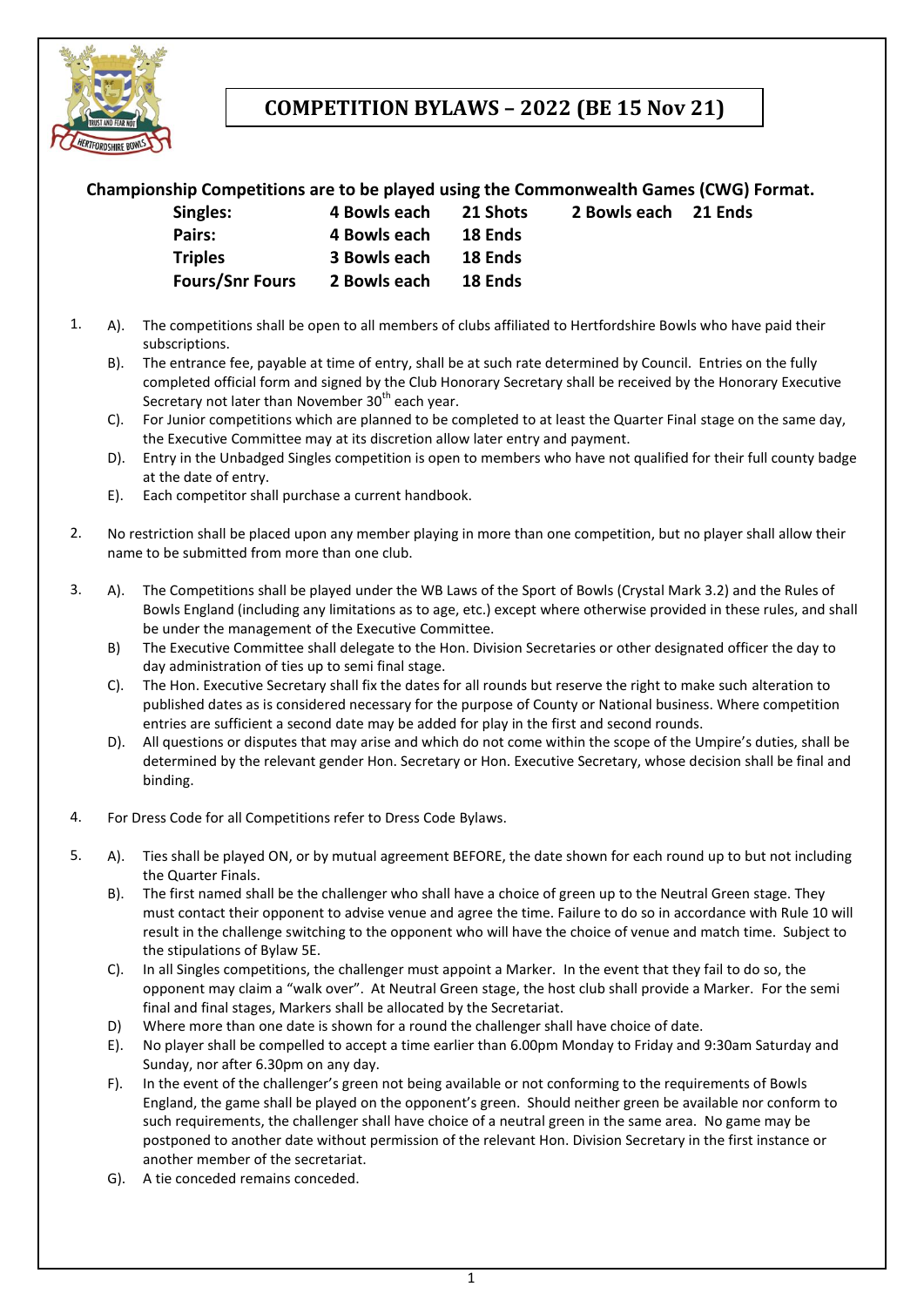

# **COMPETITION BYLAWS – 2022 (BE 15 Nov 21)**

### **Championship Competitions are to be played using the Commonwealth Games (CWG) Format.**

| Singles:               | 4 Bowls each | 21 Shots |
|------------------------|--------------|----------|
| Pairs:                 | 4 Bowls each | 18 Ends  |
| <b>Triples</b>         | 3 Bowls each | 18 Ends  |
| <b>Fours/Snr Fours</b> | 2 Bowls each | 18 Ends  |

- **Singles: 4 Bowls each 21 Shots 2 Bowls each 21 Ends**
- 1. A). The competitions shall be open to all members of clubs affiliated to Hertfordshire Bowls who have paid their subscriptions.
	- B). The entrance fee, payable at time of entry, shall be at such rate determined by Council. Entries on the fully completed official form and signed by the Club Honorary Secretary shall be received by the Honorary Executive Secretary not later than November  $30<sup>th</sup>$  each year.
	- C). For Junior competitions which are planned to be completed to at least the Quarter Final stage on the same day, the Executive Committee may at its discretion allow later entry and payment.
	- D). Entry in the Unbadged Singles competition is open to members who have not qualified for their full county badge at the date of entry.
	- E). Each competitor shall purchase a current handbook.
- 2. No restriction shall be placed upon any member playing in more than one competition, but no player shall allow their name to be submitted from more than one club.
- 3. A). The Competitions shall be played under the WB Laws of the Sport of Bowls (Crystal Mark 3.2) and the Rules of Bowls England (including any limitations as to age, etc.) except where otherwise provided in these rules, and shall be under the management of the Executive Committee.
	- B) The Executive Committee shall delegate to the Hon. Division Secretaries or other designated officer the day to day administration of ties up to semi final stage.
	- C). The Hon. Executive Secretary shall fix the dates for all rounds but reserve the right to make such alteration to published dates as is considered necessary for the purpose of County or National business. Where competition entries are sufficient a second date may be added for play in the first and second rounds.
	- D). All questions or disputes that may arise and which do not come within the scope of the Umpire's duties, shall be determined by the relevant gender Hon. Secretary or Hon. Executive Secretary, whose decision shall be final and binding.
- 4. For Dress Code for all Competitions refer to Dress Code Bylaws.
- 5. A). Ties shall be played ON, or by mutual agreement BEFORE, the date shown for each round up to but not including the Quarter Finals.
	- B). The first named shall be the challenger who shall have a choice of green up to the Neutral Green stage. They must contact their opponent to advise venue and agree the time. Failure to do so in accordance with Rule 10 will result in the challenge switching to the opponent who will have the choice of venue and match time. Subject to the stipulations of Bylaw 5E.
	- C). In all Singles competitions, the challenger must appoint a Marker. In the event that they fail to do so, the opponent may claim a "walk over". At Neutral Green stage, the host club shall provide a Marker. For the semi final and final stages, Markers shall be allocated by the Secretariat.
	- D) Where more than one date is shown for a round the challenger shall have choice of date.
	- E). No player shall be compelled to accept a time earlier than 6.00pm Monday to Friday and 9:30am Saturday and Sunday, nor after 6.30pm on any day.
	- F). In the event of the challenger's green not being available or not conforming to the requirements of Bowls England, the game shall be played on the opponent's green. Should neither green be available nor conform to such requirements, the challenger shall have choice of a neutral green in the same area. No game may be postponed to another date without permission of the relevant Hon. Division Secretary in the first instance or another member of the secretariat.
	- G). A tie conceded remains conceded.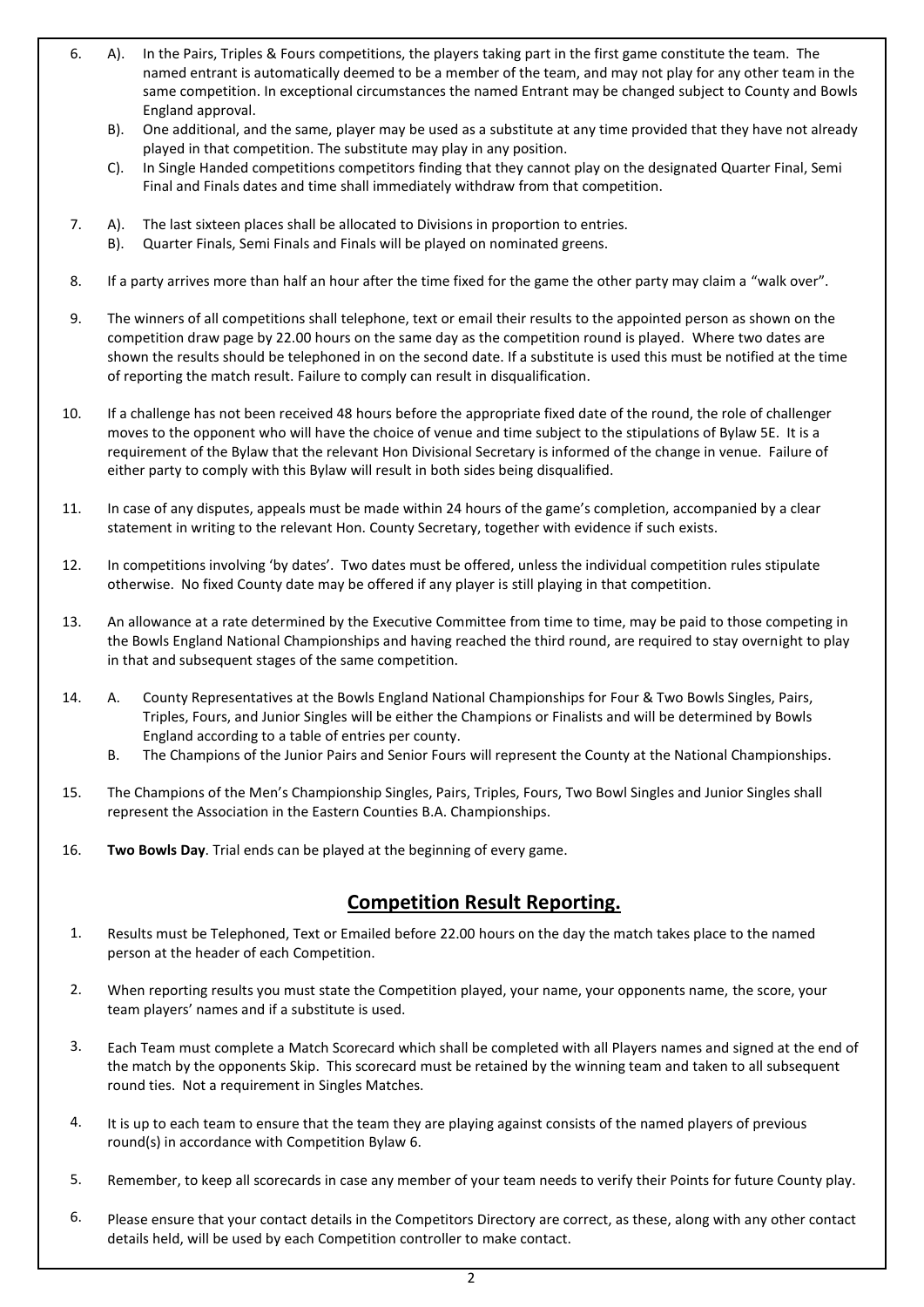- 6. A). In the Pairs, Triples & Fours competitions, the players taking part in the first game constitute the team. The named entrant is automatically deemed to be a member of the team, and may not play for any other team in the same competition. In exceptional circumstances the named Entrant may be changed subject to County and Bowls England approval.
	- B). One additional, and the same, player may be used as a substitute at any time provided that they have not already played in that competition. The substitute may play in any position.
	- C). In Single Handed competitions competitors finding that they cannot play on the designated Quarter Final, Semi Final and Finals dates and time shall immediately withdraw from that competition.
- 7. A). The last sixteen places shall be allocated to Divisions in proportion to entries.
	- B). Quarter Finals, Semi Finals and Finals will be played on nominated greens.
- 8. If a party arrives more than half an hour after the time fixed for the game the other party may claim a "walk over".
- 9. The winners of all competitions shall telephone, text or email their results to the appointed person as shown on the competition draw page by 22.00 hours on the same day as the competition round is played. Where two dates are shown the results should be telephoned in on the second date. If a substitute is used this must be notified at the time of reporting the match result. Failure to comply can result in disqualification.
- 10. If a challenge has not been received 48 hours before the appropriate fixed date of the round, the role of challenger moves to the opponent who will have the choice of venue and time subject to the stipulations of Bylaw 5E. It is a requirement of the Bylaw that the relevant Hon Divisional Secretary is informed of the change in venue. Failure of either party to comply with this Bylaw will result in both sides being disqualified.
- 11. In case of any disputes, appeals must be made within 24 hours of the game's completion, accompanied by a clear statement in writing to the relevant Hon. County Secretary, together with evidence if such exists.
- 12. In competitions involving 'by dates'. Two dates must be offered, unless the individual competition rules stipulate otherwise. No fixed County date may be offered if any player is still playing in that competition.
- 13. An allowance at a rate determined by the Executive Committee from time to time, may be paid to those competing in the Bowls England National Championships and having reached the third round, are required to stay overnight to play in that and subsequent stages of the same competition.
- 14. A. County Representatives at the Bowls England National Championships for Four & Two Bowls Singles, Pairs, Triples, Fours, and Junior Singles will be either the Champions or Finalists and will be determined by Bowls England according to a table of entries per county.
	- B. The Champions of the Junior Pairs and Senior Fours will represent the County at the National Championships.
- 15. The Champions of the Men's Championship Singles, Pairs, Triples, Fours, Two Bowl Singles and Junior Singles shall represent the Association in the Eastern Counties B.A. Championships.
- 16. **Two Bowls Day**. Trial ends can be played at the beginning of every game.

### **Competition Result Reporting.**

- 1. Results must be Telephoned, Text or Emailed before 22.00 hours on the day the match takes place to the named person at the header of each Competition.
- 2. When reporting results you must state the Competition played, your name, your opponents name, the score, your team players' names and if a substitute is used.
- 3. Each Team must complete a Match Scorecard which shall be completed with all Players names and signed at the end of the match by the opponents Skip. This scorecard must be retained by the winning team and taken to all subsequent round ties. Not a requirement in Singles Matches.
- 4. It is up to each team to ensure that the team they are playing against consists of the named players of previous round(s) in accordance with Competition Bylaw 6.
- 5. Remember, to keep all scorecards in case any member of your team needs to verify their Points for future County play.
- 6. Please ensure that your contact details in the Competitors Directory are correct, as these, along with any other contact details held, will be used by each Competition controller to make contact.